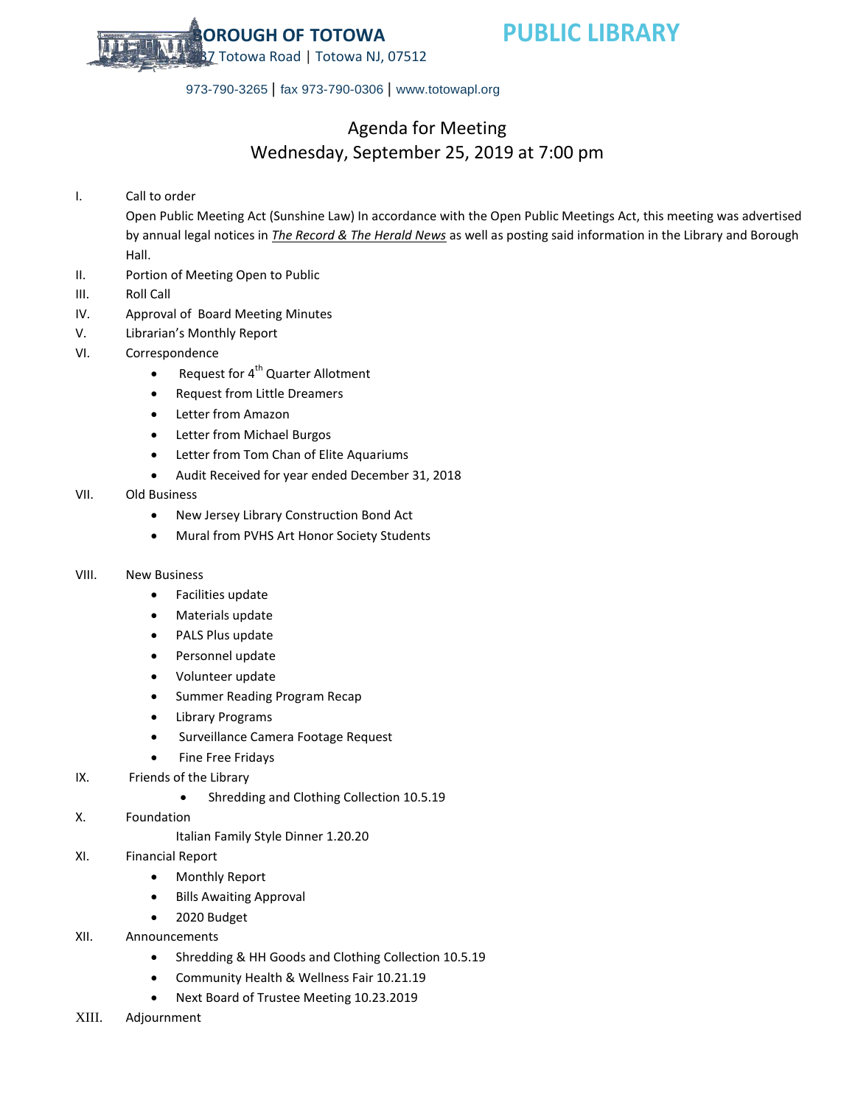

973-790-3265 | fax 973-790-0306 | www.totowapl.org

## Agenda for Meeting Wednesday, September 25, 2019 at 7:00 pm

I. Call to order

Open Public Meeting Act (Sunshine Law) In accordance with the Open Public Meetings Act, this meeting was advertised by annual legal notices in *The Record & The Herald News* as well as posting said information in the Library and Borough Hall.

- II. Portion of Meeting Open to Public
- III. Roll Call
- IV. Approval of Board Meeting Minutes
- V. Librarian's Monthly Report
- VI. Correspondence
	- Request for  $4^{th}$  Quarter Allotment
	- Request from Little Dreamers
	- Letter from Amazon
	- Letter from Michael Burgos
	- Letter from Tom Chan of Elite Aquariums
	- Audit Received for year ended December 31, 2018

## VII. Old Business

- New Jersey Library Construction Bond Act
- Mural from PVHS Art Honor Society Students

## VIII. New Business

- Facilities update
- Materials update
- PALS Plus update
- Personnel update
- Volunteer update
- **•** Summer Reading Program Recap
- Library Programs
- **•** Surveillance Camera Footage Request
- Fine Free Fridays
- IX. Friends of the Library
	- Shredding and Clothing Collection 10.5.19
- X. Foundation
	- Italian Family Style Dinner 1.20.20
- XI. Financial Report
	- Monthly Report
	- Bills Awaiting Approval
	- 2020 Budget
- XII. Announcements
	- Shredding & HH Goods and Clothing Collection 10.5.19
	- Community Health & Wellness Fair 10.21.19
	- Next Board of Trustee Meeting 10.23.2019
- XIII. Adjournment